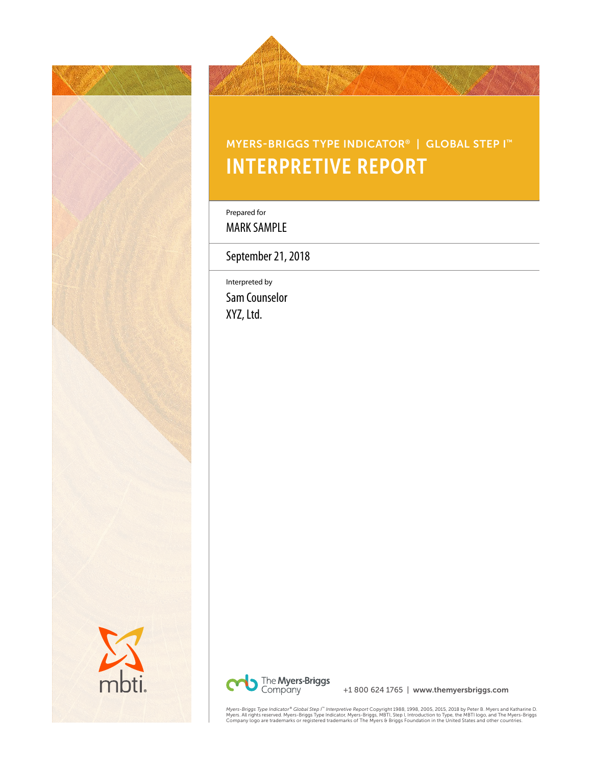



# MYERS-BRIGGS TYPE INDICATOR® | GLOBAL STEP I™ INTERPRETIVE REPORT

Prepared for

MARK SAMPLE

September 21, 2018

Interpreted by Sam Counselor XYZ, Ltd.



+1 800 624 1765 | www.themyersbriggs.com

*Myers-Briggs Type Indicator® Global Step I® Interpretive Report* Copyright 1988, 1998, 2005, 2015, 2018 by Peter B. Myers and Katharine D.<br>Myers. All rights reserved. Myers-Briggs Type Indicator, Myers-Briggs, MBTI, Sttep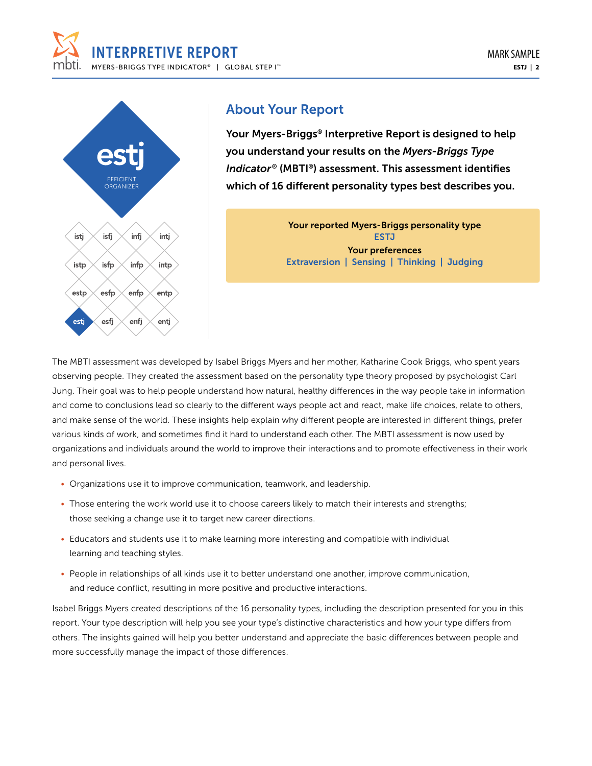



# About Your Report

Your Myers-Briggs® Interpretive Report is designed to help you understand your results on the *Myers-Briggs Type Indicator*® (MBTI®) assessment. This assessment identifies which of 16 different personality types best describes you.

> Your reported Myers-Briggs personality type ESTJ Your preferences Extraversion | Sensing | Thinking | Judging

The MBTI assessment was developed by Isabel Briggs Myers and her mother, Katharine Cook Briggs, who spent years observing people. They created the assessment based on the personality type theory proposed by psychologist Carl Jung. Their goal was to help people understand how natural, healthy differences in the way people take in information and come to conclusions lead so clearly to the different ways people act and react, make life choices, relate to others, and make sense of the world. These insights help explain why different people are interested in different things, prefer various kinds of work, and sometimes find it hard to understand each other. The MBTI assessment is now used by organizations and individuals around the world to improve their interactions and to promote effectiveness in their work and personal lives.

- Organizations use it to improve communication, teamwork, and leadership.
- Those entering the work world use it to choose careers likely to match their interests and strengths; those seeking a change use it to target new career directions.
- Educators and students use it to make learning more interesting and compatible with individual learning and teaching styles.
- People in relationships of all kinds use it to better understand one another, improve communication, and reduce conflict, resulting in more positive and productive interactions.

Isabel Briggs Myers created descriptions of the 16 personality types, including the description presented for you in this report. Your type description will help you see your type's distinctive characteristics and how your type differs from others. The insights gained will help you better understand and appreciate the basic differences between people and more successfully manage the impact of those differences.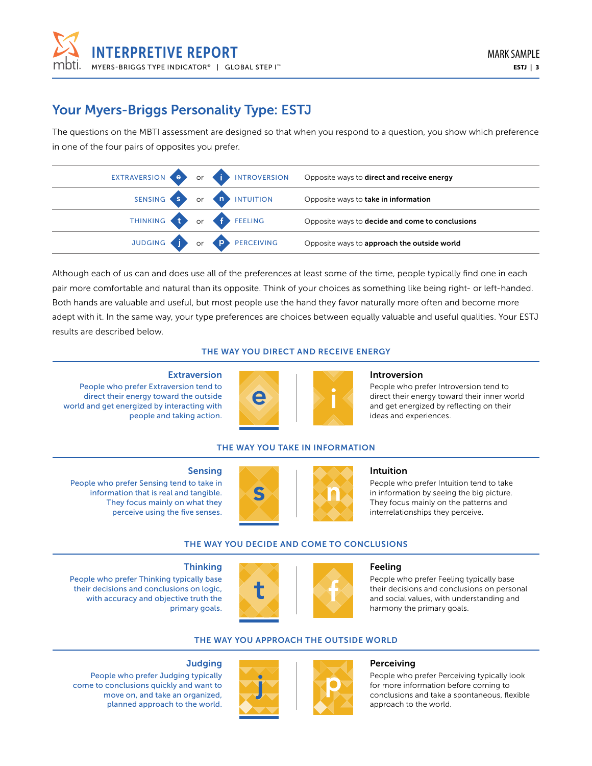

# Your Myers-Briggs Personality Type: ESTJ

The questions on the MBTI assessment are designed so that when you respond to a question, you show which preference in one of the four pairs of opposites you prefer.

|                          |                           | EXTRAVERSION OF INTROVERSION Opposite ways to direct and receive energy |
|--------------------------|---------------------------|-------------------------------------------------------------------------|
|                          | SENSING S OF A INTUITION  | Opposite ways to take in information                                    |
| THINKING to or f FEELING |                           | Opposite ways to decide and come to conclusions                         |
|                          | JUDGING T Or P PERCEIVING | Opposite ways to approach the outside world                             |

Although each of us can and does use all of the preferences at least some of the time, people typically find one in each pair more comfortable and natural than its opposite. Think of your choices as something like being right- or left-handed. Both hands are valuable and useful, but most people use the hand they favor naturally more often and become more adept with it. In the same way, your type preferences are choices between equally valuable and useful qualities. Your ESTJ results are described below.

### THE WAY YOU DIRECT AND RECEIVE ENERGY

#### **Extraversion**

People who prefer Extraversion tend to direct their energy toward the outside world and get energized by interacting with people and taking action.



#### Introversion

People who prefer Introversion tend to direct their energy toward their inner world and get energized by reflecting on their ideas and experiences.

### THE WAY YOU TAKE IN INFORMATION

#### Sensing

People who prefer Sensing tend to take in information that is real and tangible. They focus mainly on what they perceive using the five senses.

People who prefer Thinking typically base their decisions and conclusions on logic, with accuracy and objective truth the





#### Intuition

People who prefer Intuition tend to take in information by seeing the big picture. They focus mainly on the patterns and interrelationships they perceive.

#### THE WAY YOU DECIDE AND COME TO CONCLUSIONS



#### Feeling

People who prefer Feeling typically base their decisions and conclusions on personal and social values, with understanding and harmony the primary goals.

### THE WAY YOU APPROACH THE OUTSIDE WORLD



#### **Perceiving**

People who prefer Perceiving typically look for more information before coming to conclusions and take a spontaneous, flexible approach to the world.

#### **Judging**

**Thinking** 

primary goals.

People who prefer Judging typically come to conclusions quickly and want to move on, and take an organized, planned approach to the world.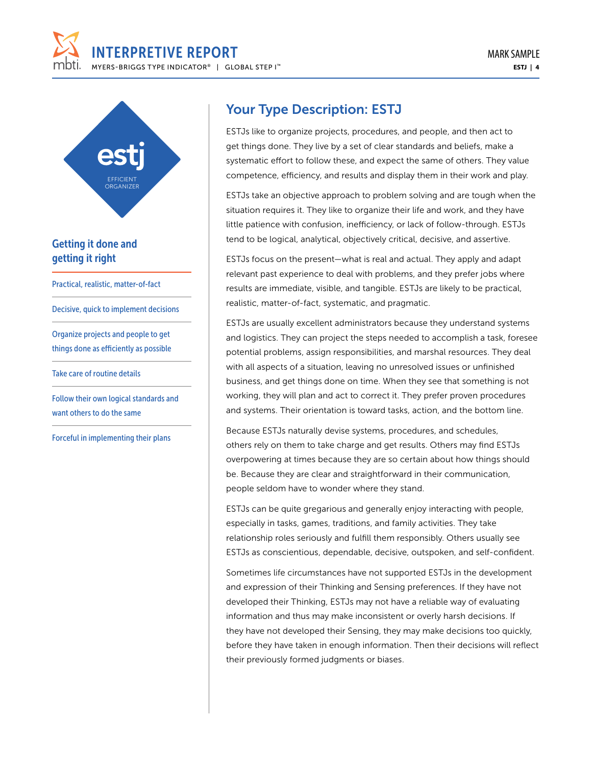



### Getting it done and getting it right

Practical, realistic, matter-of-fact

Decisive, quick to implement decisions

Organize projects and people to get things done as efficiently as possible

Take care of routine details

Follow their own logical standards and want others to do the same

Forceful in implementing their plans

## Your Type Description: ESTJ

ESTJs like to organize projects, procedures, and people, and then act to get things done. They live by a set of clear standards and beliefs, make a systematic effort to follow these, and expect the same of others. They value competence, efficiency, and results and display them in their work and play.

ESTJs take an objective approach to problem solving and are tough when the situation requires it. They like to organize their life and work, and they have little patience with confusion, inefficiency, or lack of follow-through. ESTJs tend to be logical, analytical, objectively critical, decisive, and assertive.

ESTJs focus on the present—what is real and actual. They apply and adapt relevant past experience to deal with problems, and they prefer jobs where results are immediate, visible, and tangible. ESTJs are likely to be practical, realistic, matter-of-fact, systematic, and pragmatic.

ESTJs are usually excellent administrators because they understand systems and logistics. They can project the steps needed to accomplish a task, foresee potential problems, assign responsibilities, and marshal resources. They deal with all aspects of a situation, leaving no unresolved issues or unfinished business, and get things done on time. When they see that something is not working, they will plan and act to correct it. They prefer proven procedures and systems. Their orientation is toward tasks, action, and the bottom line.

Because ESTJs naturally devise systems, procedures, and schedules, others rely on them to take charge and get results. Others may find ESTJs overpowering at times because they are so certain about how things should be. Because they are clear and straightforward in their communication, people seldom have to wonder where they stand.

ESTJs can be quite gregarious and generally enjoy interacting with people, especially in tasks, games, traditions, and family activities. They take relationship roles seriously and fulfill them responsibly. Others usually see ESTJs as conscientious, dependable, decisive, outspoken, and self-confident.

Sometimes life circumstances have not supported ESTJs in the development and expression of their Thinking and Sensing preferences. If they have not developed their Thinking, ESTJs may not have a reliable way of evaluating information and thus may make inconsistent or overly harsh decisions. If they have not developed their Sensing, they may make decisions too quickly, before they have taken in enough information. Then their decisions will reflect their previously formed judgments or biases.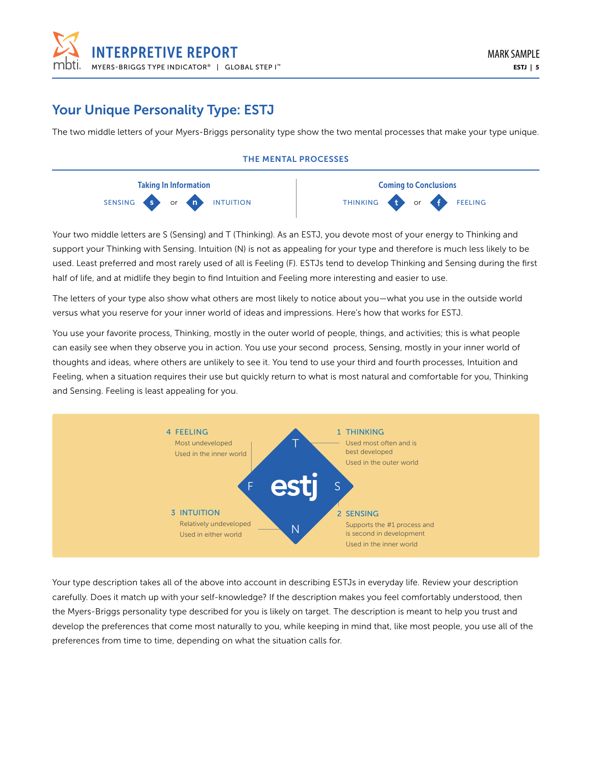

# Your Unique Personality Type: ESTJ

The two middle letters of your Myers-Briggs personality type show the two mental processes that make your type unique.

### THE MENTAL PROCESSES



Your two middle letters are S (Sensing) and T (Thinking). As an ESTJ, you devote most of your energy to Thinking and support your Thinking with Sensing. Intuition (N) is not as appealing for your type and therefore is much less likely to be used. Least preferred and most rarely used of all is Feeling (F). ESTJs tend to develop Thinking and Sensing during the first half of life, and at midlife they begin to find Intuition and Feeling more interesting and easier to use.

The letters of your type also show what others are most likely to notice about you—what you use in the outside world versus what you reserve for your inner world of ideas and impressions. Here's how that works for ESTJ.

You use your favorite process, Thinking, mostly in the outer world of people, things, and activities; this is what people can easily see when they observe you in action. You use your second process, Sensing, mostly in your inner world of thoughts and ideas, where others are unlikely to see it. You tend to use your third and fourth processes, Intuition and Feeling, when a situation requires their use but quickly return to what is most natural and comfortable for you, Thinking and Sensing. Feeling is least appealing for you.



Your type description takes all of the above into account in describing ESTJs in everyday life. Review your description carefully. Does it match up with your self-knowledge? If the description makes you feel comfortably understood, then the Myers-Briggs personality type described for you is likely on target. The description is meant to help you trust and develop the preferences that come most naturally to you, while keeping in mind that, like most people, you use all of the preferences from time to time, depending on what the situation calls for.